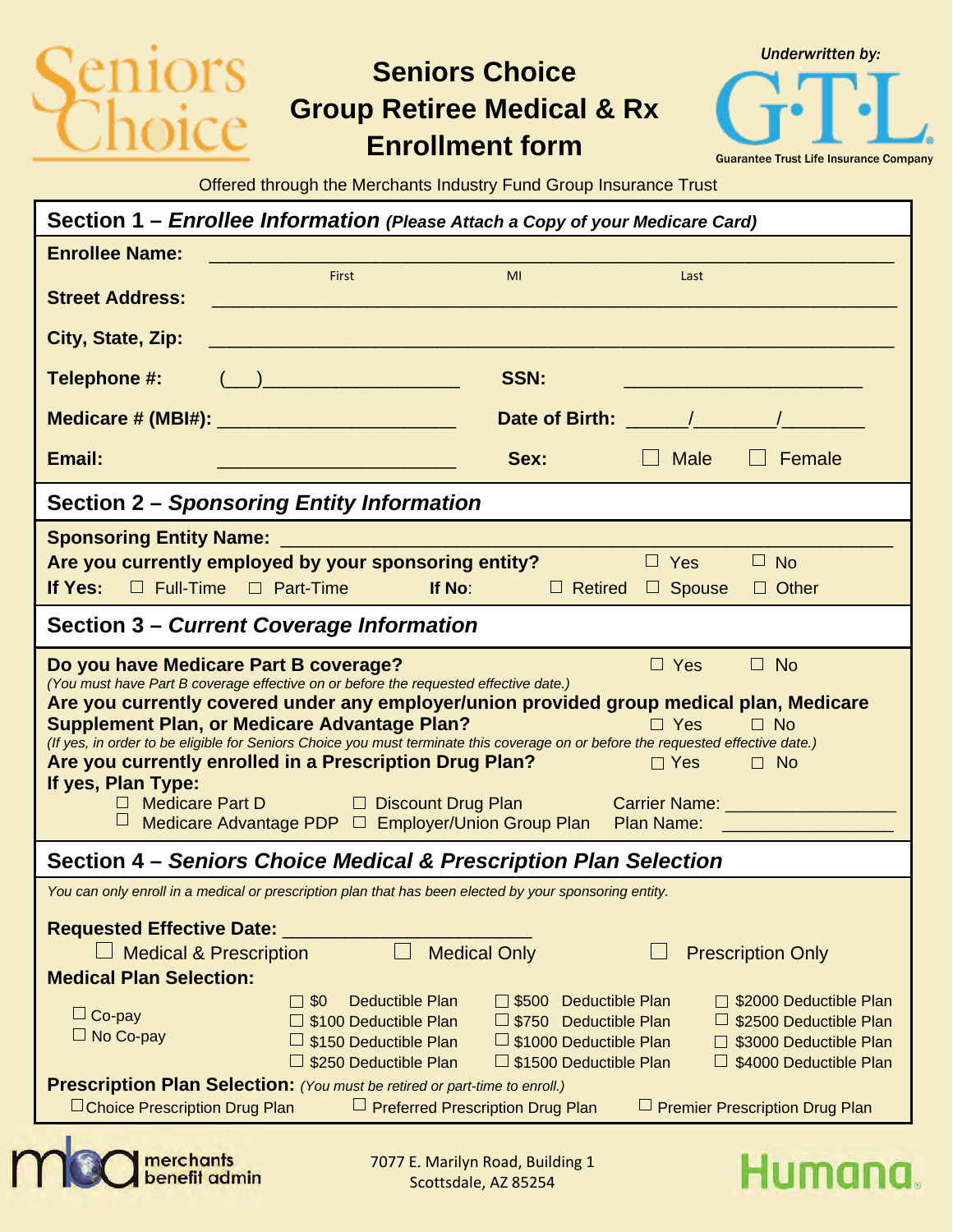# ors

merchants<br>benefit admin

## **Seniors Choice Group Retiree Medical & Rx Enrollment form**

*Underwritten by:* Guarantee Trust Life Insurance Company

Offered through the Merchants Industry Fund Group Insurance Trust

| Section 1 – Enrollee Information (Please Attach a Copy of your Medicare Card)                                                                                                                                                                                                                                                                                                                                                                                                                                                                                                                                                                                                                                                                                        |                                                                                                                       |                                                                                                                                                                                                                                     |                                                                                                                   |                                                          |                                                                                                       |
|----------------------------------------------------------------------------------------------------------------------------------------------------------------------------------------------------------------------------------------------------------------------------------------------------------------------------------------------------------------------------------------------------------------------------------------------------------------------------------------------------------------------------------------------------------------------------------------------------------------------------------------------------------------------------------------------------------------------------------------------------------------------|-----------------------------------------------------------------------------------------------------------------------|-------------------------------------------------------------------------------------------------------------------------------------------------------------------------------------------------------------------------------------|-------------------------------------------------------------------------------------------------------------------|----------------------------------------------------------|-------------------------------------------------------------------------------------------------------|
| <b>Enrollee Name:</b>                                                                                                                                                                                                                                                                                                                                                                                                                                                                                                                                                                                                                                                                                                                                                |                                                                                                                       |                                                                                                                                                                                                                                     |                                                                                                                   |                                                          |                                                                                                       |
| <b>Street Address:</b>                                                                                                                                                                                                                                                                                                                                                                                                                                                                                                                                                                                                                                                                                                                                               | First                                                                                                                 | <u> 1999 - Johann Barn, mars eta bainar eta hiri eta hiri eta hiri eta hiri eta hiri eta hiri eta hiri eta hiri</u>                                                                                                                 | MI                                                                                                                | Last                                                     |                                                                                                       |
| City, State, Zip:                                                                                                                                                                                                                                                                                                                                                                                                                                                                                                                                                                                                                                                                                                                                                    |                                                                                                                       |                                                                                                                                                                                                                                     |                                                                                                                   |                                                          |                                                                                                       |
| Telephone #:                                                                                                                                                                                                                                                                                                                                                                                                                                                                                                                                                                                                                                                                                                                                                         | $\left(\begin{array}{c} \begin{array}{c} \begin{array}{c} \end{array}\\ \end{array}\right) \end{array}$               |                                                                                                                                                                                                                                     | <b>SSN:</b>                                                                                                       |                                                          |                                                                                                       |
| Medicare # (MBI#): ___________________________                                                                                                                                                                                                                                                                                                                                                                                                                                                                                                                                                                                                                                                                                                                       |                                                                                                                       |                                                                                                                                                                                                                                     |                                                                                                                   | Date of Birth: <u>Andrean Alexander Andrew Alexander</u> |                                                                                                       |
| Email:                                                                                                                                                                                                                                                                                                                                                                                                                                                                                                                                                                                                                                                                                                                                                               | <u> 1999 - Johann Barn, mars ar breithinn ar chwaraeth a bhaile ann an 1994. Bhaile ann an 1994 a bhaile ann an 1</u> |                                                                                                                                                                                                                                     | Sex:                                                                                                              | $\Box$ Male                                              | Female                                                                                                |
| Section 2 - Sponsoring Entity Information                                                                                                                                                                                                                                                                                                                                                                                                                                                                                                                                                                                                                                                                                                                            |                                                                                                                       |                                                                                                                                                                                                                                     |                                                                                                                   |                                                          |                                                                                                       |
| Are you currently employed by your sponsoring entity?<br>If Yes: $\Box$ Full-Time $\Box$ Part-Time                                                                                                                                                                                                                                                                                                                                                                                                                                                                                                                                                                                                                                                                   |                                                                                                                       | <b>If No:</b> The Contract of the Contract of the Contract of the Contract of the Contract of the Contract of the Contract of the Contract of the Contract of the Contract of the Contract of the Contract of the Contract of the C | $\Box$ Retired                                                                                                    | $\Box$ Yes<br>$\Box$ Spouse                              | $\Box$ No<br>$\Box$ Other                                                                             |
| Section 3 - Current Coverage Information                                                                                                                                                                                                                                                                                                                                                                                                                                                                                                                                                                                                                                                                                                                             |                                                                                                                       |                                                                                                                                                                                                                                     |                                                                                                                   |                                                          |                                                                                                       |
| Do you have Medicare Part B coverage?<br>$\Box$ No<br>$\Box$ Yes<br>(You must have Part B coverage effective on or before the requested effective date.)<br>Are you currently covered under any employer/union provided group medical plan, Medicare<br><b>Supplement Plan, or Medicare Advantage Plan?</b><br>$\Box$ Yes<br>$\square$ No<br>(If yes, in order to be eligible for Seniors Choice you must terminate this coverage on or before the requested effective date.)<br>Are you currently enrolled in a Prescription Drug Plan?<br>$\Box$ Yes<br>$\square$ No<br>If yes, Plan Type:<br>□ Medicare Part D □ Discount Drug Plan Carrier Name: ___________________________<br>Medicare Advantage PDP □ Employer/Union Group Plan Plan Name: __________________ |                                                                                                                       |                                                                                                                                                                                                                                     |                                                                                                                   |                                                          |                                                                                                       |
| Section 4 – Seniors Choice Medical & Prescription Plan Selection                                                                                                                                                                                                                                                                                                                                                                                                                                                                                                                                                                                                                                                                                                     |                                                                                                                       |                                                                                                                                                                                                                                     |                                                                                                                   |                                                          |                                                                                                       |
| You can only enroll in a medical or prescription plan that has been elected by your sponsoring entity.<br><b>Requested Effective Date:</b><br><b>Medical Only</b><br><b>Medical &amp; Prescription</b><br><b>Prescription Only</b><br><b>Medical Plan Selection:</b>                                                                                                                                                                                                                                                                                                                                                                                                                                                                                                 |                                                                                                                       |                                                                                                                                                                                                                                     |                                                                                                                   |                                                          |                                                                                                       |
| $\Box$ Co-pay<br>$\Box$ No Co-pay                                                                                                                                                                                                                                                                                                                                                                                                                                                                                                                                                                                                                                                                                                                                    | $\square$ \$0                                                                                                         | <b>Deductible Plan</b><br>\$100 Deductible Plan<br>\$150 Deductible Plan<br>\$250 Deductible Plan                                                                                                                                   | □ \$500 Deductible Plan<br>$\Box$ \$750 Deductible Plan<br>S1000 Deductible Plan<br>$\Box$ \$1500 Deductible Plan |                                                          | \$2000 Deductible Plan<br>\$2500 Deductible Plan<br>S3000 Deductible Plan<br>□ \$4000 Deductible Plan |
| Prescription Plan Selection: (You must be retired or part-time to enroll.)<br>□ Preferred Prescription Drug Plan<br>$\Box$ Choice Prescription Drug Plan<br>$\Box$ Premier Prescription Drug Plan                                                                                                                                                                                                                                                                                                                                                                                                                                                                                                                                                                    |                                                                                                                       |                                                                                                                                                                                                                                     |                                                                                                                   |                                                          |                                                                                                       |

Scottsdale, AZ 85254

#### Humana. 7077 E. Marilyn Road, Building 1